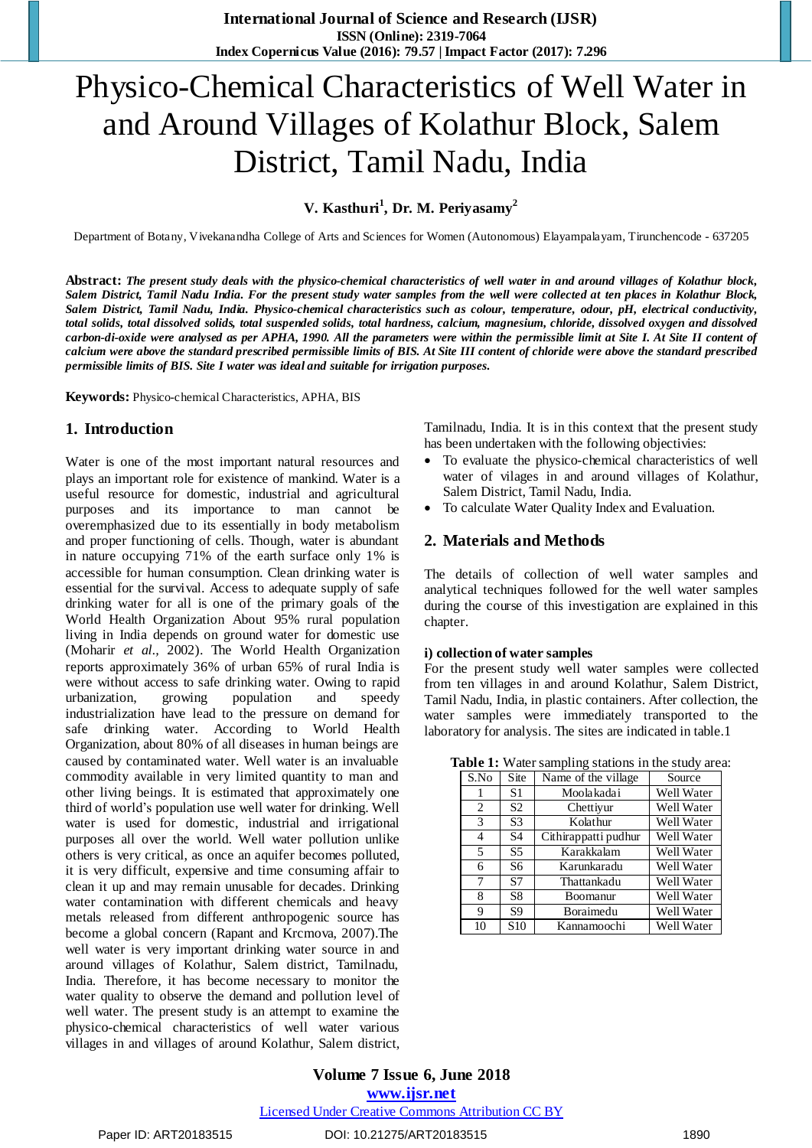# Physico-Chemical Characteristics of Well Water in and Around Villages of Kolathur Block, Salem District, Tamil Nadu, India

**V. Kasthuri<sup>1</sup> , Dr. M. Periyasamy<sup>2</sup>**

Department of Botany, Vivekanandha College of Arts and Sciences for Women (Autonomous) Elayampalayam, Tirunchencode - 637205

Abstract: The present study deals with the physico-chemical characteristics of well water in and around villages of Kolathur block, Salem District, Tamil Nadu India. For the present study water samples from the well were collected at ten places in Kolathur Block, Salem District, Tamil Nadu, India. Physico-chemical characteristics such as colour, temperature, odour, pH, electrical conductivity, total solids, total dissolved solids, total suspended solids, total hardness, calcium, magnesium, chloride, dissolved oxygen and dissolved carbon-di-oxide were analysed as per APHA, 1990. All the parameters were within the permissible limit at Site I. At Site II content of calcium were above the standard prescribed permissible limits of BIS. At Site III content of chloride were above the standard prescribed *permissible limits of BIS. Site I water was ideal and suitable for irrigation purposes.*

**Keywords:** Physico-chemical Characteristics, APHA, BIS

## **1. Introduction**

Water is one of the most important natural resources and plays an important role for existence of mankind. Water is a useful resource for domestic, industrial and agricultural purposes and its importance to man cannot be overemphasized due to its essentially in body metabolism and proper functioning of cells. Though, water is abundant in nature occupying 71% of the earth surface only 1% is accessible for human consumption. Clean drinking water is essential for the survival. Access to adequate supply of safe drinking water for all is one of the primary goals of the World Health Organization About 95% rural population living in India depends on ground water for domestic use (Moharir *et al.,* 2002). The World Health Organization reports approximately 36% of urban 65% of rural India is were without access to safe drinking water. Owing to rapid urbanization, growing population and speedy industrialization have lead to the pressure on demand for safe drinking water. According to World Health Organization, about 80% of all diseases in human beings are caused by contaminated water. Well water is an invaluable commodity available in very limited quantity to man and other living beings. It is estimated that approximately one third of world's population use well water for drinking. Well water is used for domestic, industrial and irrigational purposes all over the world. Well water pollution unlike others is very critical, as once an aquifer becomes polluted, it is very difficult, expensive and time consuming affair to clean it up and may remain unusable for decades. Drinking water contamination with different chemicals and heavy metals released from different anthropogenic source has become a global concern (Rapant and Krcmova, 2007).The well water is very important drinking water source in and around villages of Kolathur, Salem district, Tamilnadu, India. Therefore, it has become necessary to monitor the water quality to observe the demand and pollution level of well water. The present study is an attempt to examine the physico-chemical characteristics of well water various villages in and villages of around Kolathur, Salem district, Tamilnadu, India. It is in this context that the present study has been undertaken with the following objectivies:

- To evaluate the physico-chemical characteristics of well water of vilages in and around villages of Kolathur, Salem District, Tamil Nadu, India.
- To calculate Water Quality Index and Evaluation.

## **2. Materials and Methods**

The details of collection of well water samples and analytical techniques followed for the well water samples during the course of this investigation are explained in this chapter.

#### **i) collection of water samples**

For the present study well water samples were collected from ten villages in and around Kolathur, Salem District, Tamil Nadu, India, in plastic containers. After collection, the water samples were immediately transported to the laboratory for analysis. The sites are indicated in table.1

**Table 1:** Water sampling stations in the study area:

| S.No | Site            | Name of the village  | Source     |
|------|-----------------|----------------------|------------|
| 1    | S1              | Moolakadai           | Well Water |
| 2    | S <sub>2</sub>  | Chettivur            | Well Water |
| 3    | S <sub>3</sub>  | Kolathur             | Well Water |
| 4    | S4              | Cithirappatti pudhur | Well Water |
| 5    | S <sub>5</sub>  | Karakkalam           | Well Water |
| 6    | S6              | Karunkaradu          | Well Water |
| 7    | S7              | Thattankadu          | Well Water |
| 8    | S8              | Boomanur             | Well Water |
| 9    | S9              | Boraimedu            | Well Water |
| 10   | S <sub>10</sub> | Kannamoochi          | Well Water |

**Volume 7 Issue 6, June 2018 <www.ijsr.net>** [Licensed Under Creative Commons Attribution CC BY](http://creativecommons.org/licenses/by/4.0/)

## Paper ID: ART20183515 DOI: 10.21275/ART20183515 1890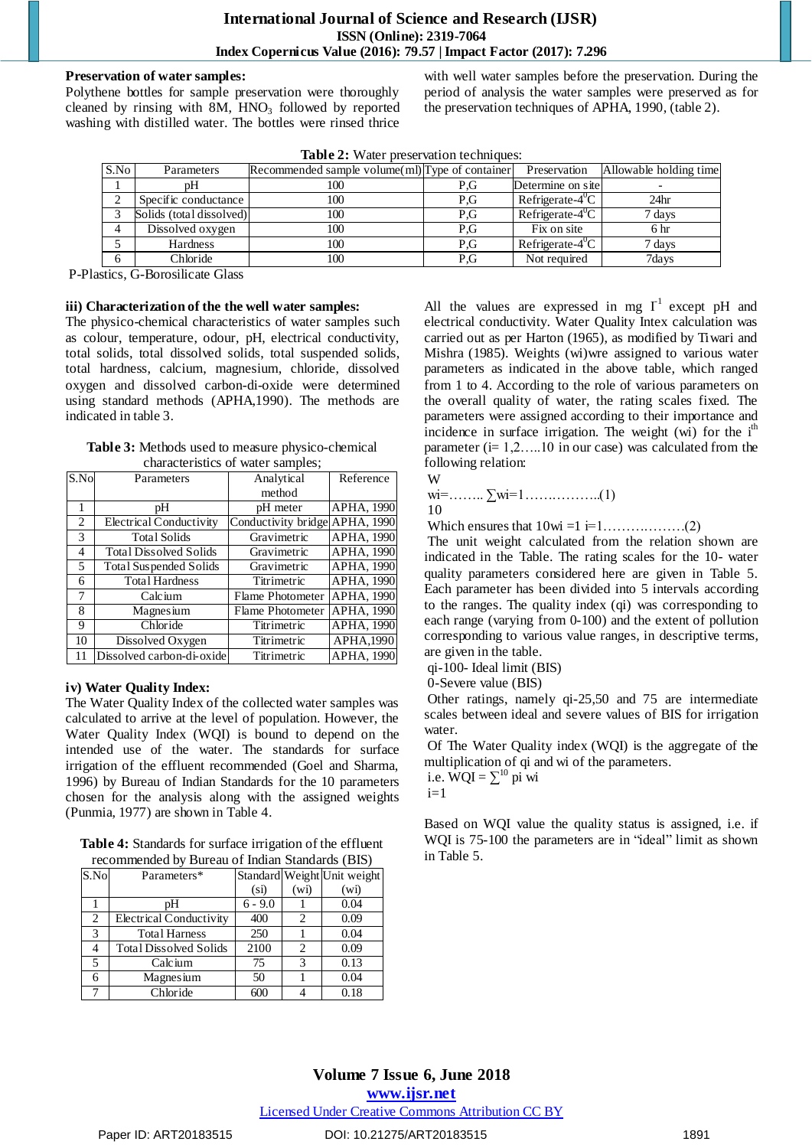#### **Preservation of water samples:**

Polythene bottles for sample preservation were thoroughly cleaned by rinsing with  $8M$ ,  $HNO<sub>3</sub>$  followed by reported washing with distilled water. The bottles were rinsed thrice

with well water samples before the preservation. During the period of analysis the water samples were preserved as for the preservation techniques of APHA, 1990, (table 2).

| Table 2: Water preservation techniques: |  |  |  |
|-----------------------------------------|--|--|--|
|-----------------------------------------|--|--|--|

| S.No | Parameters               | Recommended sample volume (ml) Type of container |     | Preservation                   | Allowable holding time |  |
|------|--------------------------|--------------------------------------------------|-----|--------------------------------|------------------------|--|
|      |                          | 100                                              | P.G | Determine on site              |                        |  |
|      | Specific conductance     | 100                                              | P.G | $Refrigerate-40C$              | 24 <sub>hr</sub>       |  |
|      | Solids (total dissolved) | 100                                              | P.G | Refrigerate- $4^0C$            | 7 days                 |  |
|      | Dissolved oxygen         | 100                                              | P.G | Fix on site                    | 6 hr                   |  |
|      | Hardness                 | 100                                              | P.G | Refrigerate- $\overline{4^0C}$ | 7 days                 |  |
|      | Chloride                 | 100                                              | P.G | Not required                   | 7days                  |  |
|      |                          |                                                  |     |                                |                        |  |

P-Plastics, G-Borosilicate Glass

#### **iii) Characterization of the the well water samples:**

The physico-chemical characteristics of water samples such as colour, temperature, odour, pH, electrical conductivity, total solids, total dissolved solids, total suspended solids, total hardness, calcium, magnesium, chloride, dissolved oxygen and dissolved carbon-di-oxide were determined using standard methods (APHA,1990). The methods are indicated in table 3.

**Table 3:** Methods used to measure physico-chemical characteristics of water samples;

| $\overline{\text{S}}$ .No | Parameters                    | Analytical                     | Reference  |
|---------------------------|-------------------------------|--------------------------------|------------|
|                           |                               | method                         |            |
| 1                         | pH                            | pH meter                       | APHA, 1990 |
| 2                         | Electrical Conductivity       | Conductivity bridge APHA, 1990 |            |
| 3                         | <b>Total Solids</b>           | Gravimetric                    | APHA, 1990 |
| 4                         | <b>Total Dissolved Solids</b> | Gravimetric                    | APHA, 1990 |
| 5                         | Total Suspended Solids        | Gravimetric                    | APHA, 1990 |
| 6                         | <b>Total Hardness</b>         | Titrimetric                    | APHA, 1990 |
| 7                         | Calcium                       | Flame Photometer               | APHA, 1990 |
| 8                         | Magnesium                     | Flame Photometer               | APHA, 1990 |
| 9                         | Chloride                      | Titrimetric                    | APHA, 1990 |
| 10                        | Dissolved Oxygen              | Titrimetric                    | APHA,1990  |
|                           | Dissolved carbon-di-oxide     | Titrimetric                    | APHA, 1990 |

#### **iv) Water Quality Index:**

The Water Quality Index of the collected water samples was calculated to arrive at the level of population. However, the Water Quality Index (WQI) is bound to depend on the intended use of the water. The standards for surface irrigation of the effluent recommended (Goel and Sharma, 1996) by Bureau of Indian Standards for the 10 parameters chosen for the analysis along with the assigned weights (Punmia, 1977) are shown in Table 4.

| <b>Table 4:</b> Standards for surface irrigation of the effluent |
|------------------------------------------------------------------|
| recommended by Bureau of Indian Standards (BIS)                  |

| S.No | Parameters*                   |                   |                             | Standard Weight Unit weight |
|------|-------------------------------|-------------------|-----------------------------|-----------------------------|
|      |                               | (s <sub>i</sub> ) | (w <sub>i</sub> )           | (w <sub>i</sub> )           |
|      | pН                            | $6 - 9.0$         |                             | 0.04                        |
| 2    | Electrical Conductivity       | 400               | $\mathcal{D}_{\mathcal{L}}$ | 0.09                        |
| 3    | <b>Total Harness</b>          | 250               |                             | 0.04                        |
| 4    | <b>Total Dissolved Solids</b> | 2100              | $\mathcal{D}_{\mathcal{A}}$ | 0.09                        |
| 5    | Calcium                       | 75                | 3                           | 0.13                        |
| 6    | Magnesium                     | 50                |                             | 0.04                        |
|      | Chloride                      | 600               |                             | 0.18                        |

All the values are expressed in mg  $\Gamma^1$  except pH and electrical conductivity. Water Quality Intex calculation was carried out as per Harton (1965), as modified by Tiwari and Mishra (1985). Weights (wi)wre assigned to various water parameters as indicated in the above table, which ranged from 1 to 4. According to the role of various parameters on the overall quality of water, the rating scales fixed. The parameters were assigned according to their importance and incidence in surface irrigation. The weight  $(wi)$  for the i<sup>th</sup> parameter  $(i= 1, 2, \ldots, 10$  in our case) was calculated from the following relation: W

wi=…….. ∑wi=1……………..(1)

10

Which ensures that 10wi =1 i=1………………(2)

The unit weight calculated from the relation shown are indicated in the Table. The rating scales for the 10- water quality parameters considered here are given in Table 5. Each parameter has been divided into 5 intervals according to the ranges. The quality index (qi) was corresponding to each range (varying from 0-100) and the extent of pollution corresponding to various value ranges, in descriptive terms, are given in the table.

qi-100- Ideal limit (BIS)

0-Severe value (BIS)

Other ratings, namely qi-25,50 and 75 are intermediate scales between ideal and severe values of BIS for irrigation water.

Of The Water Quality index (WQI) is the aggregate of the multiplication of qi and wi of the parameters.

i.e.  $\mathbf{\dot{W}}\mathbf{Q}\mathbf{I} = \sum_{i}^{10} \mathbf{p} \mathbf{i} \mathbf{w} \mathbf{i}$ 

 $i=1$ 

Based on WQI value the quality status is assigned, i.e. if WQI is 75-100 the parameters are in "ideal" limit as shown in Table 5.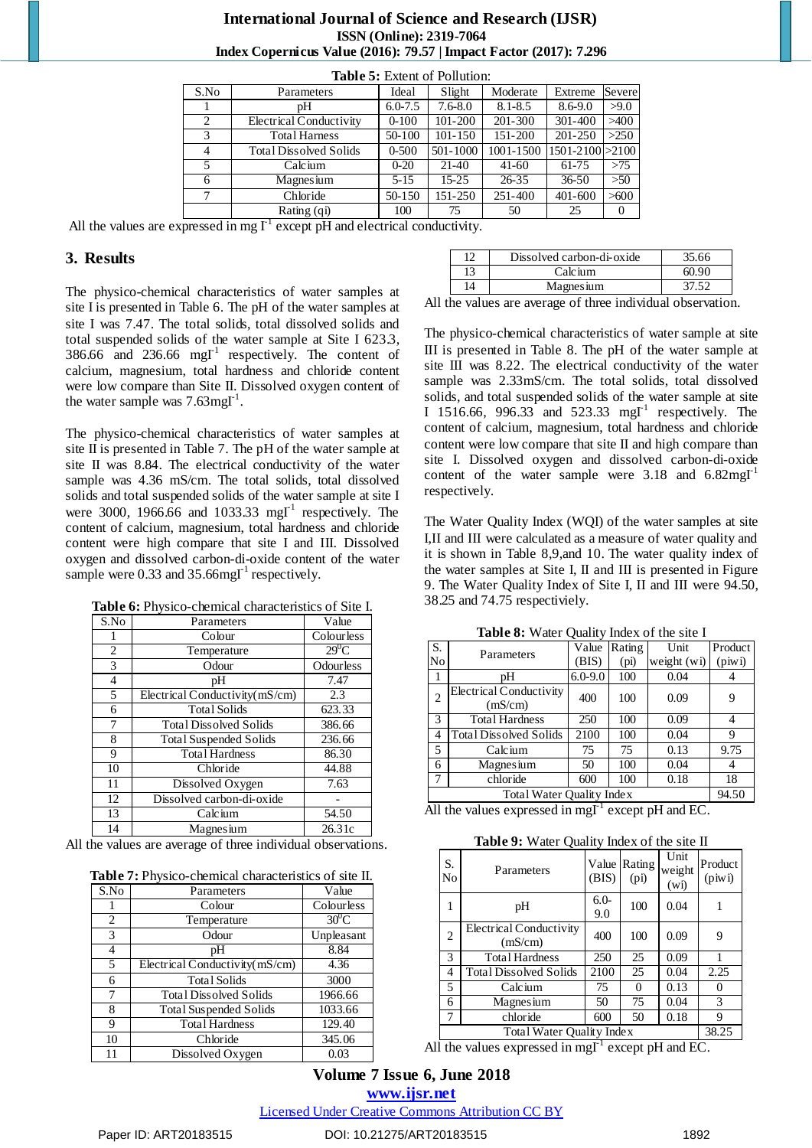| <b>Table 5:</b> Extent of Pollution: |                               |             |             |             |                        |        |
|--------------------------------------|-------------------------------|-------------|-------------|-------------|------------------------|--------|
| S.No                                 | Parameters                    | Ideal       | Slight      | Moderate    | Extreme                | Severe |
|                                      | pΗ                            | $6.0 - 7.5$ | $7.6 - 8.0$ | $8.1 - 8.5$ | 8.6-9.0                | >9.0   |
| 2                                    | Electrical Conductivity       | $0 - 100$   | 101-200     | 201-300     | 301-400                | >400   |
| 3                                    | <b>Total Harness</b>          | 50-100      | $101 - 150$ | 151-200     | 201-250                | >250   |
| 4                                    | <b>Total Dissolved Solids</b> | $0 - 500$   | 501-1000    | 1001-1500   | $1501 - 2100 \ge 2100$ |        |
| 5                                    | Calcium                       | $0 - 20$    | 21-40       | $41-60$     | 61-75                  | >75    |
| 6                                    | Magnesium                     | $5 - 15$    | $15 - 25$   | $26 - 35$   | $36 - 50$              | >50    |
| 7                                    | Chloride                      | 50-150      | 151-250     | 251-400     | $401 - 600$            | >600   |
|                                      | Rating (qi)                   | 100         | 75          | 50          | 25                     |        |

## **International Journal of Science and Research (IJSR) ISSN (Online): 2319-7064 Index Copernicus Value (2016): 79.57 | Impact Factor (2017): 7.296**

All the values are expressed in mg  $\Gamma^1$  except pH and electrical conductivity.

## **3. Results**

The physico-chemical characteristics of water samples at site I is presented in Table 6. The pH of the water samples at site I was 7.47. The total solids, total dissolved solids and total suspended solids of the water sample at Site I 623.3, 386.66 and 236.66 mg $I^1$  respectively. The content of calcium, magnesium, total hardness and chloride content were low compare than Site II. Dissolved oxygen content of the water sample was  $7.63$ mg $\Gamma^1$ .

The physico-chemical characteristics of water samples at site II is presented in Table 7. The pH of the water sample at site II was 8.84. The electrical conductivity of the water sample was 4.36 mS/cm. The total solids, total dissolved solids and total suspended solids of the water sample at site I were 3000, 1966.66 and 1033.33 mg $I<sup>-1</sup>$  respectively. The content of calcium, magnesium, total hardness and chloride content were high compare that site I and III. Dissolved oxygen and dissolved carbon-di-oxide content of the water sample were 0.33 and 35.66mg $\Gamma^1$  respectively.

| Table 6: Physico-chemical characteristics of Site I. |  |
|------------------------------------------------------|--|
|                                                      |  |

| S.No | Parameters                     | Value      |
|------|--------------------------------|------------|
|      | Colour                         | Colourless |
| 2    | Temperature                    | $29^0C$    |
| 3    | Odour                          | Odourless  |
| 4    | pH                             | 7.47       |
| 5    | Electrical Conductivity(mS/cm) | 2.3        |
| 6    | <b>Total Solids</b>            | 623.33     |
| 7    | <b>Total Dissolved Solids</b>  | 386.66     |
| 8    | <b>Total Suspended Solids</b>  | 236.66     |
| 9    | <b>Total Hardness</b>          | 86.30      |
| 10   | Chloride                       | 44.88      |
| 11   | Dissolved Oxygen               | 7.63       |
| 12   | Dissolved carbon-di-oxide      |            |
| 13   | Calcium                        | 54.50      |
| 14   | Magnesium                      | 26.31c     |

All the values are average of three individual observations.

| Table 7: Physico-chemical characteristics of site II. |  |  |  |
|-------------------------------------------------------|--|--|--|
|-------------------------------------------------------|--|--|--|

| S.No | Parameters                     | Value      |
|------|--------------------------------|------------|
|      | Colour                         | Colourless |
| 2    | Temperature                    | $30^0$ C   |
| 3    | Odour                          | Unpleasant |
| 4    | рH                             | 8.84       |
| 5    | Electrical Conductivity(mS/cm) | 4.36       |
| 6    | <b>Total Solids</b>            | 3000       |
| 7    | <b>Total Dissolved Solids</b>  | 1966.66    |
| 8    | <b>Total Suspended Solids</b>  | 1033.66    |
| 9    | <b>Total Hardness</b>          | 129.40     |
| 10   | Chloride                       | 345.06     |
| 11   | Dissolved Oxygen               | 0.03       |

|  | Dissolved carbon-di-oxide | 35.66 |
|--|---------------------------|-------|
|  | Calcium                   | 60.96 |
|  | Magnesium                 |       |

All the values are average of three individual observation.

The physico-chemical characteristics of water sample at site III is presented in Table 8. The pH of the water sample at site III was 8.22. The electrical conductivity of the water sample was 2.33mS/cm. The total solids, total dissolved solids, and total suspended solids of the water sample at site I 1516.66, 996.33 and 523.33 mgI<sup>1</sup> respectively. The content of calcium, magnesium, total hardness and chloride content were low compare that site II and high compare than site I. Dissolved oxygen and dissolved carbon-di-oxide content of the water sample were  $3.18$  and  $6.82$ mgI<sup>-1</sup> respectively.

The Water Quality Index (WQI) of the water samples at site I,II and III were calculated as a measure of water quality and it is shown in Table 8,9,and 10. The water quality index of the water samples at Site I, II and III is presented in Figure 9. The Water Quality Index of Site I, II and III were 94.50, 38.25 and 74.75 respectiviely.

**Table 8:** Water Quality Index of the site I

| S.                        | Parameters                         | Value       | Rating            | Unit          | Product |  |  |
|---------------------------|------------------------------------|-------------|-------------------|---------------|---------|--|--|
| No                        |                                    | (BIS)       | (p <sub>i</sub> ) | weight $(wi)$ | (piw)   |  |  |
|                           | pΗ                                 | $6.0 - 9.0$ | 100               | 0.04          |         |  |  |
| 2                         | Electrical Conductivity<br>(mS/cm) | 400         | 100               | 0.09          |         |  |  |
| 3                         | <b>Total Hardness</b>              | 250         | 100               | 0.09          | 4       |  |  |
| 4                         | <b>Total Dissolved Solids</b>      | 2100        | 100               | 0.04          | 9       |  |  |
| 5                         | Calcium                            | 75          | 75                | 0.13          | 9.75    |  |  |
| 6                         | Magnesium                          | 50          | 100               | 0.04          |         |  |  |
| 7                         | chloride                           | 600         | 100               | 0.18          | 18      |  |  |
| Total Water Quality Index |                                    |             |                   |               |         |  |  |

All the values expressed in mg $I^1$  except pH and EC.

**Table 9:** Water Quality Index of the site II

| S.<br>No                  | Parameters                         | Value<br>(BIS) | Rating<br>(p <sub>i</sub> ) | Unit<br>weight<br>(w <sub>i</sub> ) | Product<br>(piw) |  |
|---------------------------|------------------------------------|----------------|-----------------------------|-------------------------------------|------------------|--|
| 1                         | pH                                 | $6.0-$<br>9.0  | 100                         | 0.04                                |                  |  |
| $\overline{2}$            | Electrical Conductivity<br>(mS/cm) | 400            | 100                         | 0.09                                | 9                |  |
| 3                         | <b>Total Hardness</b>              | 250            | 25                          | 0.09                                |                  |  |
| 4                         | <b>Total Dissolved Solids</b>      | 2100           | 25                          | 0.04                                | 2.25             |  |
| 5                         | Calcium                            | 75             | $\Omega$                    | 0.13                                | 0                |  |
| 6                         | Magnesium                          | 50             | 75                          | 0.04                                | 3                |  |
| 7                         | chloride                           | 600            | 50                          | 0.18                                | 9                |  |
| Total Water Quality Index |                                    |                |                             |                                     |                  |  |

All the values expressed in mg $\Gamma^1$  except pH and EC.

# **Volume 7 Issue 6, June 2018 <www.ijsr.net>**

#### [Licensed Under Creative Commons Attribution CC BY](http://creativecommons.org/licenses/by/4.0/)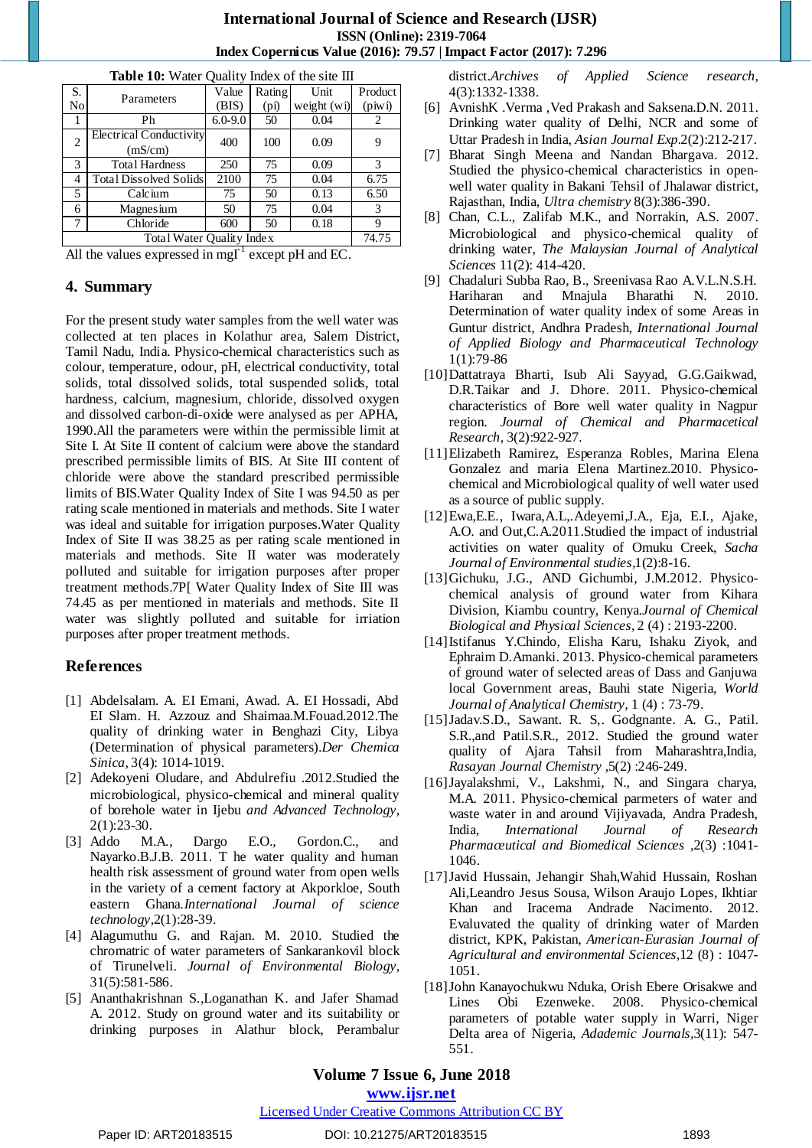# **International Journal of Science and Research (IJSR) ISSN (Online): 2319-7064 Index Copernicus Value (2016): 79.57 | Impact Factor (2017): 7.296**

| <b>THE TO:</b> Water Quality index of the site III  |                               |             |                   |               |         |  |  |  |
|-----------------------------------------------------|-------------------------------|-------------|-------------------|---------------|---------|--|--|--|
| S.                                                  |                               | Value       | Rating            | Unit          | Product |  |  |  |
| No                                                  | Parameters                    | (BIS)       | (p <sub>i</sub> ) | weight $(wi)$ | (piw)   |  |  |  |
|                                                     | Ph                            | $6.0 - 9.0$ | 50                | 0.04          | 2       |  |  |  |
| 2                                                   | Electrical Conductivity       | 400         | 100               | 0.09          | 9       |  |  |  |
|                                                     | (mS/cm)                       |             |                   |               |         |  |  |  |
| 3                                                   | <b>Total Hardness</b>         | 250         | 75                | 0.09          | 3       |  |  |  |
| 4                                                   | <b>Total Dissolved Solids</b> | 2100        | 75                | 0.04          | 6.75    |  |  |  |
| 5                                                   | Calcium                       | 75          | 50                | 0.13          | 6.50    |  |  |  |
| 6                                                   | Magnesium                     | 50          | 75                | 0.04          | 3       |  |  |  |
| 7                                                   | Chloride                      | 600         | 50                | 0.18          | 9       |  |  |  |
| Total Water Quality Index                           |                               |             |                   |               |         |  |  |  |
| . <b>.</b><br>$\cdot$ $\cdot$<br>.<br>$\sim$ $\sim$ |                               |             |                   |               |         |  |  |  |

**Table 10:** Water Quality Index of the site III

All the values expressed in mg $\Gamma^1$  except pH and EC.

# **4. Summary**

For the present study water samples from the well water was collected at ten places in Kolathur area, Salem District, Tamil Nadu, India. Physico-chemical characteristics such as colour, temperature, odour, pH, electrical conductivity, total solids, total dissolved solids, total suspended solids, total hardness, calcium, magnesium, chloride, dissolved oxygen and dissolved carbon-di-oxide were analysed as per APHA, 1990.All the parameters were within the permissible limit at Site I. At Site II content of calcium were above the standard prescribed permissible limits of BIS. At Site III content of chloride were above the standard prescribed permissible limits of BIS.Water Quality Index of Site I was 94.50 as per rating scale mentioned in materials and methods. Site I water was ideal and suitable for irrigation purposes.Water Quality Index of Site II was 38.25 as per rating scale mentioned in materials and methods. Site II water was moderately polluted and suitable for irrigation purposes after proper treatment methods.7P[ Water Quality Index of Site III was 74.45 as per mentioned in materials and methods. Site II water was slightly polluted and suitable for irriation purposes after proper treatment methods.

# **References**

- [1] Abdelsalam. A. EI Emani, Awad. A. EI Hossadi, Abd EI Slam. H. Azzouz and Shaimaa.M.Fouad.2012.The quality of drinking water in Benghazi City, Libya (Determination of physical parameters).*Der Chemica Sinica,* 3(4): 1014-1019.
- [2] Adekoyeni Oludare, and Abdulrefiu .2012.Studied the microbiological, physico-chemical and mineral quality of borehole water in Ijebu *and Advanced Technology,* 2(1):23-30.
- [3] Addo M.A., Dargo E.O., Gordon.C., and Nayarko.B.J.B. 2011. T he water quality and human health risk assessment of ground water from open wells in the variety of a cement factory at Akporkloe, South eastern Ghana.*International Journal of science technology,*2(1):28-39.
- [4] Alagumuthu G. and Rajan. M. 2010. Studied the chromatric of water parameters of Sankarankovil block of Tirunelveli. *Journal of Environmental Biology,* 31(5):581-586.
- [5] Ananthakrishnan S.,Loganathan K. and Jafer Shamad A. 2012. Study on ground water and its suitability or drinking purposes in Alathur block, Perambalur

district.*Archives of Applied Science research,* 4(3):1332-1338.

- [6] AvnishK .Verma , Ved Prakash and Saksena.D.N. 2011. Drinking water quality of Delhi, NCR and some of Uttar Pradesh in India, *Asian Journal Exp.*2(2):212-217.
- [7] Bharat Singh Meena and Nandan Bhargava. 2012. Studied the physico-chemical characteristics in openwell water quality in Bakani Tehsil of Jhalawar district, Rajasthan, India, *Ultra chemistry* 8(3):386-390.
- [8] Chan, C.L., Zalifab M.K., and Norrakin, A.S. 2007. Microbiological and physico-chemical quality of drinking water, *The Malaysian Journal of Analytical Sciences* 11(2): 414-420.
- [9] Chadaluri Subba Rao, B., Sreenivasa Rao A.V.L.N.S.H. Hariharan and Mnajula Bharathi N. 2010. Determination of water quality index of some Areas in Guntur district, Andhra Pradesh, *International Journal of Applied Biology and Pharmaceutical Technology* 1(1):79-86
- [10]Dattatraya Bharti, Isub Ali Sayyad, G.G.Gaikwad, D.R.Taikar and J. Dhore. 2011. Physico-chemical characteristics of Bore well water quality in Nagpur region. *Journal of Chemical and Pharmacetical Research*, 3(2):922-927*.*
- [11]Elizabeth Ramirez, Esperanza Robles, Marina Elena Gonzalez and maria Elena Martinez.2010. Physicochemical and Microbiological quality of well water used as a source of public supply.
- [12]Ewa,E.E., Iwara,A.L,.Adeyemi,J.A., Eja, E.I., Ajake, A.O. and Out,C.A.2011.Studied the impact of industrial activities on water quality of Omuku Creek, *Sacha Journal of Environmental studies,*1(2):8-16.
- [13]Gichuku, J.G., AND Gichumbi, J.M.2012. Physicochemical analysis of ground water from Kihara Division, Kiambu country, Kenya.*Journal of Chemical Biological and Physical Sciences,* 2 (4) : 2193-2200.
- [14]Istifanus Y.Chindo, Elisha Karu, Ishaku Ziyok, and Ephraim D.Amanki. 2013. Physico-chemical parameters of ground water of selected areas of Dass and Ganjuwa local Government areas, Bauhi state Nigeria, *World Journal of Analytical Chemistry,* 1 (4) : 73-79.
- [15]Jadav.S.D., Sawant. R. S,. Godgnante. A. G., Patil. S.R.,and Patil.S.R., 2012. Studied the ground water quality of Ajara Tahsil from Maharashtra,India, *Rasayan Journal Chemistry* ,5(2) :246-249.
- [16]Jayalakshmi, V., Lakshmi, N., and Singara charya, M.A. 2011. Physico-chemical parmeters of water and waste water in and around Vijiyavada, Andra Pradesh, India, *International Journal of Research Pharmaceutical and Biomedical Sciences ,*2(3) :1041- 1046.
- [17]Javid Hussain, Jehangir Shah,Wahid Hussain, Roshan Ali,Leandro Jesus Sousa, Wilson Araujo Lopes, Ikhtiar Khan and Iracema Andrade Nacimento. 2012. Evaluvated the quality of drinking water of Marden district, KPK, Pakistan, *American-Eurasian Journal of Agricultural and environmental Sciences,*12 (8) : 1047- 1051.
- [18]John Kanayochukwu Nduka, Orish Ebere Orisakwe and Lines Obi Ezenweke. 2008. Physico-chemical parameters of potable water supply in Warri, Niger Delta area of Nigeria, *Adademic Journals,*3(11): 547- 551.

# **Volume 7 Issue 6, June 2018**

**<www.ijsr.net>**

#### [Licensed Under Creative Commons Attribution CC BY](http://creativecommons.org/licenses/by/4.0/)